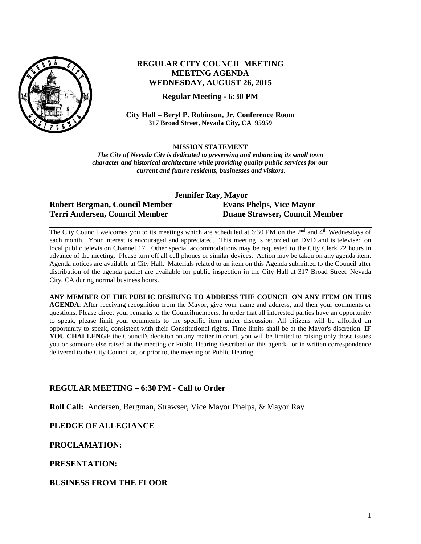

# **REGULAR CITY COUNCIL MEETING MEETING AGENDA WEDNESDAY, AUGUST 26, 2015**

**Regular Meeting - 6:30 PM**

**City Hall – Beryl P. Robinson, Jr. Conference Room 317 Broad Street, Nevada City, CA 95959**

**MISSION STATEMENT**

*The City of Nevada City is dedicated to preserving and enhancing its small town character and historical architecture while providing quality public services for our current and future residents, businesses and visitors.*

| Jennifer Ray, Mayor            |                                       |
|--------------------------------|---------------------------------------|
| Robert Bergman, Council Member | <b>Evans Phelps, Vice Mayor</b>       |
| Terri Andersen, Council Member | <b>Duane Strawser, Council Member</b> |

The City Council welcomes you to its meetings which are scheduled at 6:30 PM on the 2<sup>nd</sup> and 4<sup>th</sup> Wednesdays of each month. Your interest is encouraged and appreciated. This meeting is recorded on DVD and is televised on local public television Channel 17. Other special accommodations may be requested to the City Clerk 72 hours in advance of the meeting. Please turn off all cell phones or similar devices. Action may be taken on any agenda item. Agenda notices are available at City Hall. Materials related to an item on this Agenda submitted to the Council after distribution of the agenda packet are available for public inspection in the City Hall at 317 Broad Street, Nevada City, CA during normal business hours.

**ANY MEMBER OF THE PUBLIC DESIRING TO ADDRESS THE COUNCIL ON ANY ITEM ON THIS AGENDA**: After receiving recognition from the Mayor, give your name and address, and then your comments or questions. Please direct your remarks to the Councilmembers. In order that all interested parties have an opportunity to speak, please limit your comments to the specific item under discussion. All citizens will be afforded an opportunity to speak, consistent with their Constitutional rights. Time limits shall be at the Mayor's discretion. **IF**  YOU CHALLENGE the Council's decision on any matter in court, you will be limited to raising only those issues you or someone else raised at the meeting or Public Hearing described on this agenda, or in written correspondence delivered to the City Council at, or prior to, the meeting or Public Hearing.

## **REGULAR MEETING – 6:30 PM - Call to Order**

**Roll Call:** Andersen, Bergman, Strawser, Vice Mayor Phelps, & Mayor Ray

**PLEDGE OF ALLEGIANCE**

**PROCLAMATION:**

**PRESENTATION:** 

**BUSINESS FROM THE FLOOR**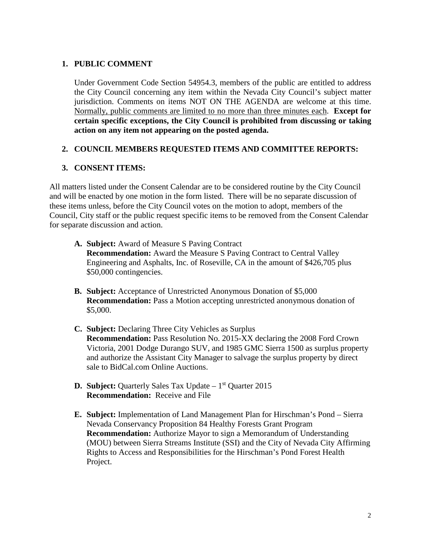## **1. PUBLIC COMMENT**

Under Government Code Section 54954.3, members of the public are entitled to address the City Council concerning any item within the Nevada City Council's subject matter jurisdiction. Comments on items NOT ON THE AGENDA are welcome at this time. Normally, public comments are limited to no more than three minutes each. **Except for certain specific exceptions, the City Council is prohibited from discussing or taking action on any item not appearing on the posted agenda.**

## **2. COUNCIL MEMBERS REQUESTED ITEMS AND COMMITTEE REPORTS:**

## **3. CONSENT ITEMS:**

All matters listed under the Consent Calendar are to be considered routine by the City Council and will be enacted by one motion in the form listed. There will be no separate discussion of these items unless, before the City Council votes on the motion to adopt, members of the Council, City staff or the public request specific items to be removed from the Consent Calendar for separate discussion and action.

- **A. Subject:** Award of Measure S Paving Contract **Recommendation:** Award the Measure S Paving Contract to Central Valley Engineering and Asphalts, Inc. of Roseville, CA in the amount of \$426,705 plus \$50,000 contingencies.
- **B. Subject:** Acceptance of Unrestricted Anonymous Donation of \$5,000 **Recommendation:** Pass a Motion accepting unrestricted anonymous donation of \$5,000.
- **C. Subject:** Declaring Three City Vehicles as Surplus **Recommendation:** Pass Resolution No. 2015-XX declaring the 2008 Ford Crown Victoria, 2001 Dodge Durango SUV, and 1985 GMC Sierra 1500 as surplus property and authorize the Assistant City Manager to salvage the surplus property by direct sale to BidCal.com Online Auctions.
- **D.** Subject: Quarterly Sales Tax Update 1<sup>st</sup> Quarter 2015 **Recommendation:** Receive and File
- **E. Subject:** Implementation of Land Management Plan for Hirschman's Pond Sierra Nevada Conservancy Proposition 84 Healthy Forests Grant Program **Recommendation:** Authorize Mayor to sign a Memorandum of Understanding (MOU) between Sierra Streams Institute (SSI) and the City of Nevada City Affirming Rights to Access and Responsibilities for the Hirschman's Pond Forest Health Project.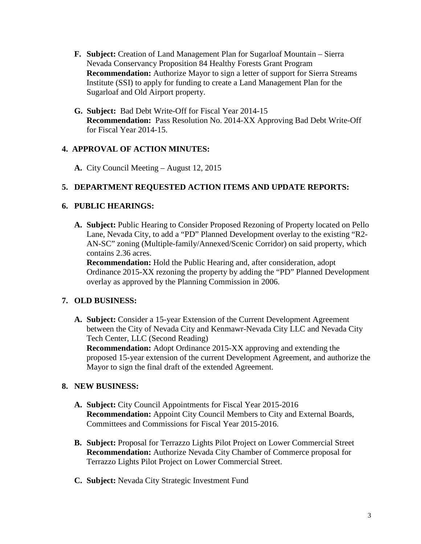- **F. Subject:** Creation of Land Management Plan for Sugarloaf Mountain Sierra Nevada Conservancy Proposition 84 Healthy Forests Grant Program **Recommendation:** Authorize Mayor to sign a letter of support for Sierra Streams Institute (SSI) to apply for funding to create a Land Management Plan for the Sugarloaf and Old Airport property.
- **G. Subject:** Bad Debt Write-Off for Fiscal Year 2014-15 **Recommendation:** Pass Resolution No. 2014-XX Approving Bad Debt Write-Off for Fiscal Year 2014-15.

## **4. APPROVAL OF ACTION MINUTES:**

**A.** City Council Meeting – August 12, 2015

## **5. DEPARTMENT REQUESTED ACTION ITEMS AND UPDATE REPORTS:**

#### **6. PUBLIC HEARINGS:**

**A. Subject:** Public Hearing to Consider Proposed Rezoning of Property located on Pello Lane, Nevada City, to add a "PD" Planned Development overlay to the existing "R2- AN-SC" zoning (Multiple-family/Annexed/Scenic Corridor) on said property, which contains 2.36 acres.

**Recommendation:** Hold the Public Hearing and, after consideration, adopt Ordinance 2015-XX rezoning the property by adding the "PD" Planned Development overlay as approved by the Planning Commission in 2006.

## **7. OLD BUSINESS:**

**A. Subject:** Consider a 15-year Extension of the Current Development Agreement between the City of Nevada City and Kenmawr-Nevada City LLC and Nevada City Tech Center, LLC (Second Reading)

**Recommendation:** Adopt Ordinance 2015-XX approving and extending the proposed 15-year extension of the current Development Agreement, and authorize the Mayor to sign the final draft of the extended Agreement.

## **8. NEW BUSINESS:**

- **A. Subject:** City Council Appointments for Fiscal Year 2015-2016 **Recommendation:** Appoint City Council Members to City and External Boards, Committees and Commissions for Fiscal Year 2015-2016.
- **B. Subject:** Proposal for Terrazzo Lights Pilot Project on Lower Commercial Street **Recommendation:** Authorize Nevada City Chamber of Commerce proposal for Terrazzo Lights Pilot Project on Lower Commercial Street.
- **C. Subject:** Nevada City Strategic Investment Fund